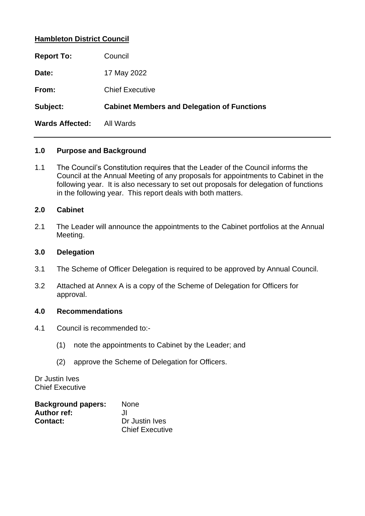### **Hambleton District Council**

| <b>Report To:</b>      | Council                                            |
|------------------------|----------------------------------------------------|
| Date:                  | 17 May 2022                                        |
| From:                  | <b>Chief Executive</b>                             |
| Subject:               | <b>Cabinet Members and Delegation of Functions</b> |
| <b>Wards Affected:</b> | All Wards                                          |

### **1.0 Purpose and Background**

1.1 The Council's Constitution requires that the Leader of the Council informs the Council at the Annual Meeting of any proposals for appointments to Cabinet in the following year. It is also necessary to set out proposals for delegation of functions in the following year. This report deals with both matters.

### **2.0 Cabinet**

2.1 The Leader will announce the appointments to the Cabinet portfolios at the Annual Meeting.

#### **3.0 Delegation**

- 3.1 The Scheme of Officer Delegation is required to be approved by Annual Council.
- 3.2 Attached at Annex A is a copy of the Scheme of Delegation for Officers for approval.

#### **4.0 Recommendations**

- 4.1 Council is recommended to:-
	- (1) note the appointments to Cabinet by the Leader; and
	- (2) approve the Scheme of Delegation for Officers.

Dr Justin Ives Chief Executive

| <b>Background papers:</b> | <b>None</b>            |
|---------------------------|------------------------|
| <b>Author ref:</b>        | . П                    |
| <b>Contact:</b>           | Dr Justin Ives         |
|                           | <b>Chief Executive</b> |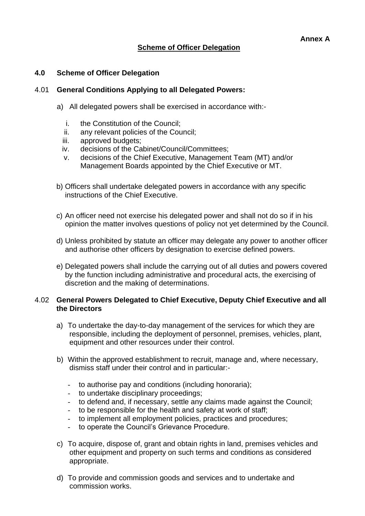# **Scheme of Officer Delegation**

#### **4.0 Scheme of Officer Delegation**

#### 4.01 **General Conditions Applying to all Delegated Powers:**

- a) All delegated powers shall be exercised in accordance with:
	- i. the Constitution of the Council;
	- ii. any relevant policies of the Council;<br>iii. approved budgets:
	- approved budgets;
	- iv. decisions of the Cabinet/Council/Committees;
	- v. decisions of the Chief Executive, Management Team (MT) and/or Management Boards appointed by the Chief Executive or MT.
- b) Officers shall undertake delegated powers in accordance with any specific instructions of the Chief Executive.
- c) An officer need not exercise his delegated power and shall not do so if in his opinion the matter involves questions of policy not yet determined by the Council.
- d) Unless prohibited by statute an officer may delegate any power to another officer and authorise other officers by designation to exercise defined powers.
- e) Delegated powers shall include the carrying out of all duties and powers covered by the function including administrative and procedural acts, the exercising of discretion and the making of determinations.

#### 4.02 **General Powers Delegated to Chief Executive, Deputy Chief Executive and all the Directors**

- a) To undertake the day-to-day management of the services for which they are responsible, including the deployment of personnel, premises, vehicles, plant, equipment and other resources under their control.
- b) Within the approved establishment to recruit, manage and, where necessary, dismiss staff under their control and in particular:-
	- to authorise pay and conditions (including honoraria);
	- to undertake disciplinary proceedings;
	- to defend and, if necessary, settle any claims made against the Council;
	- to be responsible for the health and safety at work of staff;
	- to implement all employment policies, practices and procedures;
	- to operate the Council's Grievance Procedure.
- c) To acquire, dispose of, grant and obtain rights in land, premises vehicles and other equipment and property on such terms and conditions as considered appropriate.
- d) To provide and commission goods and services and to undertake and commission works.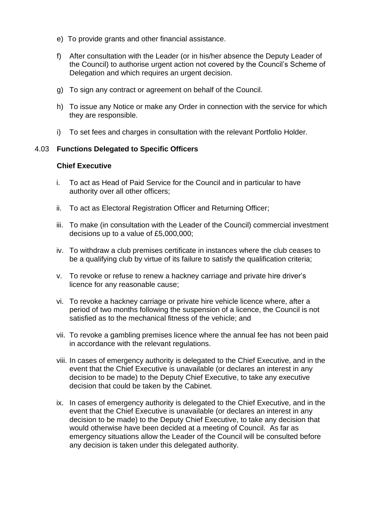- e) To provide grants and other financial assistance.
- f) After consultation with the Leader (or in his/her absence the Deputy Leader of the Council) to authorise urgent action not covered by the Council's Scheme of Delegation and which requires an urgent decision.
- g) To sign any contract or agreement on behalf of the Council.
- h) To issue any Notice or make any Order in connection with the service for which they are responsible.
- i) To set fees and charges in consultation with the relevant Portfolio Holder.

### 4.03 **Functions Delegated to Specific Officers**

#### **Chief Executive**

- i. To act as Head of Paid Service for the Council and in particular to have authority over all other officers;
- ii. To act as Electoral Registration Officer and Returning Officer;
- iii. To make (in consultation with the Leader of the Council) commercial investment decisions up to a value of £5,000,000;
- iv. To withdraw a club premises certificate in instances where the club ceases to be a qualifying club by virtue of its failure to satisfy the qualification criteria;
- v. To revoke or refuse to renew a hackney carriage and private hire driver's licence for any reasonable cause;
- vi. To revoke a hackney carriage or private hire vehicle licence where, after a period of two months following the suspension of a licence, the Council is not satisfied as to the mechanical fitness of the vehicle; and
- vii. To revoke a gambling premises licence where the annual fee has not been paid in accordance with the relevant regulations.
- viii. In cases of emergency authority is delegated to the Chief Executive, and in the event that the Chief Executive is unavailable (or declares an interest in any decision to be made) to the Deputy Chief Executive, to take any executive decision that could be taken by the Cabinet.
- ix. In cases of emergency authority is delegated to the Chief Executive, and in the event that the Chief Executive is unavailable (or declares an interest in any decision to be made) to the Deputy Chief Executive, to take any decision that would otherwise have been decided at a meeting of Council. As far as emergency situations allow the Leader of the Council will be consulted before any decision is taken under this delegated authority.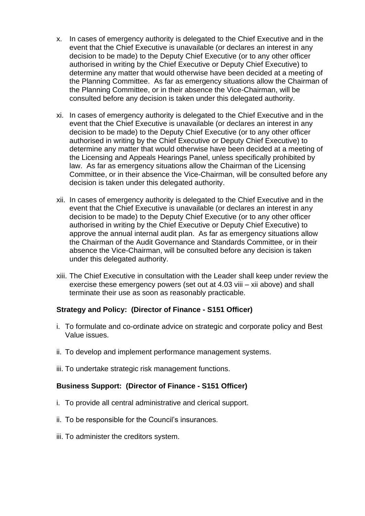- x. In cases of emergency authority is delegated to the Chief Executive and in the event that the Chief Executive is unavailable (or declares an interest in any decision to be made) to the Deputy Chief Executive (or to any other officer authorised in writing by the Chief Executive or Deputy Chief Executive) to determine any matter that would otherwise have been decided at a meeting of the Planning Committee. As far as emergency situations allow the Chairman of the Planning Committee, or in their absence the Vice-Chairman, will be consulted before any decision is taken under this delegated authority.
- xi. In cases of emergency authority is delegated to the Chief Executive and in the event that the Chief Executive is unavailable (or declares an interest in any decision to be made) to the Deputy Chief Executive (or to any other officer authorised in writing by the Chief Executive or Deputy Chief Executive) to determine any matter that would otherwise have been decided at a meeting of the Licensing and Appeals Hearings Panel, unless specifically prohibited by law. As far as emergency situations allow the Chairman of the Licensing Committee, or in their absence the Vice-Chairman, will be consulted before any decision is taken under this delegated authority.
- xii. In cases of emergency authority is delegated to the Chief Executive and in the event that the Chief Executive is unavailable (or declares an interest in any decision to be made) to the Deputy Chief Executive (or to any other officer authorised in writing by the Chief Executive or Deputy Chief Executive) to approve the annual internal audit plan. As far as emergency situations allow the Chairman of the Audit Governance and Standards Committee, or in their absence the Vice-Chairman, will be consulted before any decision is taken under this delegated authority.
- xiii. The Chief Executive in consultation with the Leader shall keep under review the exercise these emergency powers (set out at 4.03 viii – xii above) and shall terminate their use as soon as reasonably practicable.

# **Strategy and Policy: (Director of Finance - S151 Officer)**

- i. To formulate and co-ordinate advice on strategic and corporate policy and Best Value issues.
- ii. To develop and implement performance management systems.
- iii. To undertake strategic risk management functions.

# **Business Support: (Director of Finance - S151 Officer)**

- i. To provide all central administrative and clerical support.
- ii. To be responsible for the Council's insurances.
- iii. To administer the creditors system.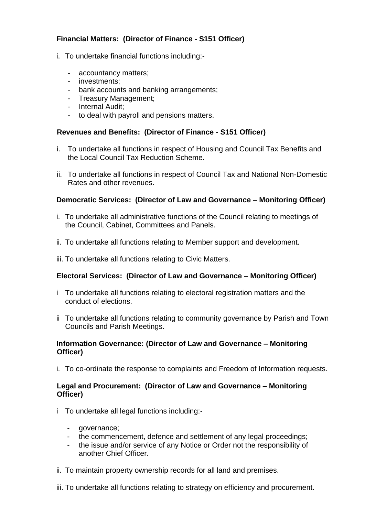# **Financial Matters: (Director of Finance - S151 Officer)**

- i. To undertake financial functions including:-
	- accountancy matters;
	- investments;
	- bank accounts and banking arrangements;
	- Treasury Management;
	- Internal Audit;
	- to deal with payroll and pensions matters.

### **Revenues and Benefits: (Director of Finance - S151 Officer)**

- i. To undertake all functions in respect of Housing and Council Tax Benefits and the Local Council Tax Reduction Scheme.
- ii. To undertake all functions in respect of Council Tax and National Non-Domestic Rates and other revenues.

### **Democratic Services: (Director of Law and Governance – Monitoring Officer)**

- i. To undertake all administrative functions of the Council relating to meetings of the Council, Cabinet, Committees and Panels.
- ii. To undertake all functions relating to Member support and development.
- iii. To undertake all functions relating to Civic Matters.

# **Electoral Services: (Director of Law and Governance – Monitoring Officer)**

- i To undertake all functions relating to electoral registration matters and the conduct of elections.
- ii To undertake all functions relating to community governance by Parish and Town Councils and Parish Meetings.

### **Information Governance: (Director of Law and Governance – Monitoring Officer)**

i. To co-ordinate the response to complaints and Freedom of Information requests.

### **Legal and Procurement: (Director of Law and Governance – Monitoring Officer)**

- i To undertake all legal functions including:-
	- governance;
	- the commencement, defence and settlement of any legal proceedings;
	- the issue and/or service of any Notice or Order not the responsibility of another Chief Officer.
- ii. To maintain property ownership records for all land and premises.
- iii. To undertake all functions relating to strategy on efficiency and procurement.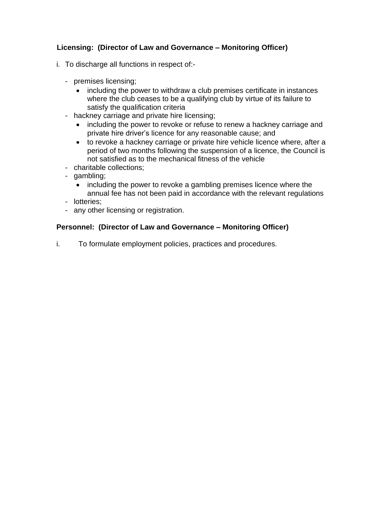# **Licensing: (Director of Law and Governance – Monitoring Officer)**

- i. To discharge all functions in respect of:-
	- premises licensing;
		- including the power to withdraw a club premises certificate in instances where the club ceases to be a qualifying club by virtue of its failure to satisfy the qualification criteria
	- hackney carriage and private hire licensing;
		- including the power to revoke or refuse to renew a hackney carriage and private hire driver's licence for any reasonable cause; and
		- to revoke a hackney carriage or private hire vehicle licence where, after a period of two months following the suspension of a licence, the Council is not satisfied as to the mechanical fitness of the vehicle
	- charitable collections;
	- gambling;
		- including the power to revoke a gambling premises licence where the annual fee has not been paid in accordance with the relevant regulations
	- lotteries;
	- any other licensing or registration.

# **Personnel: (Director of Law and Governance – Monitoring Officer)**

i. To formulate employment policies, practices and procedures.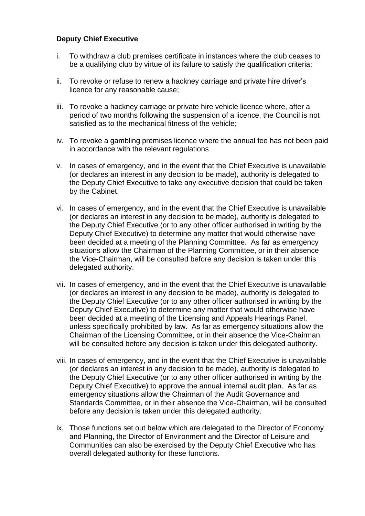### **Deputy Chief Executive**

- i. To withdraw a club premises certificate in instances where the club ceases to be a qualifying club by virtue of its failure to satisfy the qualification criteria;
- ii. To revoke or refuse to renew a hackney carriage and private hire driver's licence for any reasonable cause;
- iii. To revoke a hackney carriage or private hire vehicle licence where, after a period of two months following the suspension of a licence, the Council is not satisfied as to the mechanical fitness of the vehicle;
- iv. To revoke a gambling premises licence where the annual fee has not been paid in accordance with the relevant regulations
- v. In cases of emergency, and in the event that the Chief Executive is unavailable (or declares an interest in any decision to be made), authority is delegated to the Deputy Chief Executive to take any executive decision that could be taken by the Cabinet.
- vi. In cases of emergency, and in the event that the Chief Executive is unavailable (or declares an interest in any decision to be made), authority is delegated to the Deputy Chief Executive (or to any other officer authorised in writing by the Deputy Chief Executive) to determine any matter that would otherwise have been decided at a meeting of the Planning Committee. As far as emergency situations allow the Chairman of the Planning Committee, or in their absence the Vice-Chairman, will be consulted before any decision is taken under this delegated authority.
- vii. In cases of emergency, and in the event that the Chief Executive is unavailable (or declares an interest in any decision to be made), authority is delegated to the Deputy Chief Executive (or to any other officer authorised in writing by the Deputy Chief Executive) to determine any matter that would otherwise have been decided at a meeting of the Licensing and Appeals Hearings Panel, unless specifically prohibited by law. As far as emergency situations allow the Chairman of the Licensing Committee, or in their absence the Vice-Chairman, will be consulted before any decision is taken under this delegated authority.
- viii. In cases of emergency, and in the event that the Chief Executive is unavailable (or declares an interest in any decision to be made), authority is delegated to the Deputy Chief Executive (or to any other officer authorised in writing by the Deputy Chief Executive) to approve the annual internal audit plan. As far as emergency situations allow the Chairman of the Audit Governance and Standards Committee, or in their absence the Vice-Chairman, will be consulted before any decision is taken under this delegated authority.
- ix. Those functions set out below which are delegated to the Director of Economy and Planning, the Director of Environment and the Director of Leisure and Communities can also be exercised by the Deputy Chief Executive who has overall delegated authority for these functions.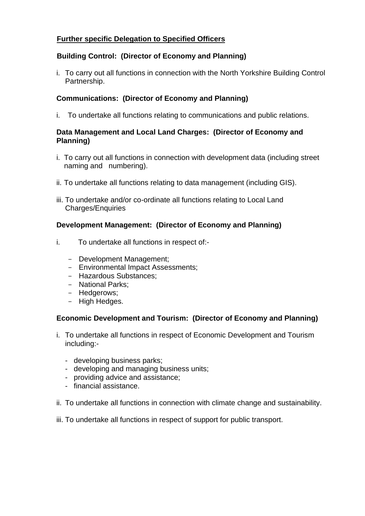# **Further specific Delegation to Specified Officers**

# **Building Control: (Director of Economy and Planning)**

i. To carry out all functions in connection with the North Yorkshire Building Control Partnership.

# **Communications: (Director of Economy and Planning)**

i. To undertake all functions relating to communications and public relations.

### **Data Management and Local Land Charges: (Director of Economy and Planning)**

- i. To carry out all functions in connection with development data (including street naming and numbering).
- ii. To undertake all functions relating to data management (including GIS).
- iii. To undertake and/or co-ordinate all functions relating to Local Land Charges/Enquiries

# **Development Management: (Director of Economy and Planning)**

- i. To undertake all functions in respect of:-
	- Development Management;
	- Environmental Impact Assessments;
	- Hazardous Substances;
	- National Parks;
	- Hedgerows;
	- High Hedges.

# **Economic Development and Tourism: (Director of Economy and Planning)**

- i. To undertake all functions in respect of Economic Development and Tourism including:-
	- developing business parks;
	- developing and managing business units;
	- providing advice and assistance;
	- financial assistance.
- ii. To undertake all functions in connection with climate change and sustainability.
- iii. To undertake all functions in respect of support for public transport.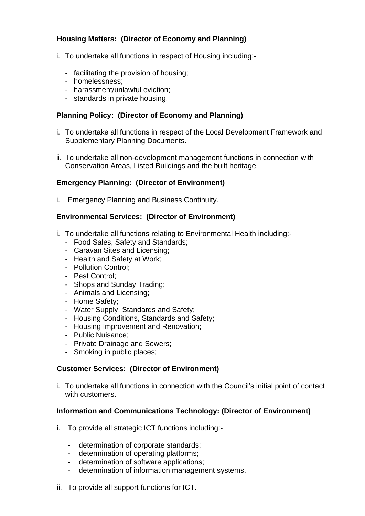# **Housing Matters: (Director of Economy and Planning)**

- i. To undertake all functions in respect of Housing including:-
	- facilitating the provision of housing;
	- homelessness;
	- harassment/unlawful eviction;
	- standards in private housing.

### **Planning Policy: (Director of Economy and Planning)**

- i. To undertake all functions in respect of the Local Development Framework and Supplementary Planning Documents.
- ii. To undertake all non-development management functions in connection with Conservation Areas, Listed Buildings and the built heritage.

### **Emergency Planning: (Director of Environment)**

i. Emergency Planning and Business Continuity.

### **Environmental Services: (Director of Environment)**

- i. To undertake all functions relating to Environmental Health including:-
	- Food Sales, Safety and Standards;
	- Caravan Sites and Licensing;
	- Health and Safety at Work;
	- Pollution Control;
	- Pest Control;
	- Shops and Sunday Trading;
	- Animals and Licensing;
	- Home Safety;
	- Water Supply, Standards and Safety;
	- Housing Conditions, Standards and Safety;
	- Housing Improvement and Renovation;
	- Public Nuisance;
	- Private Drainage and Sewers;
	- Smoking in public places;

# **Customer Services: (Director of Environment)**

i. To undertake all functions in connection with the Council's initial point of contact with customers.

### **Information and Communications Technology: (Director of Environment)**

- i. To provide all strategic ICT functions including:-
	- determination of corporate standards;
	- determination of operating platforms;
	- determination of software applications;
	- determination of information management systems.
- ii. To provide all support functions for ICT.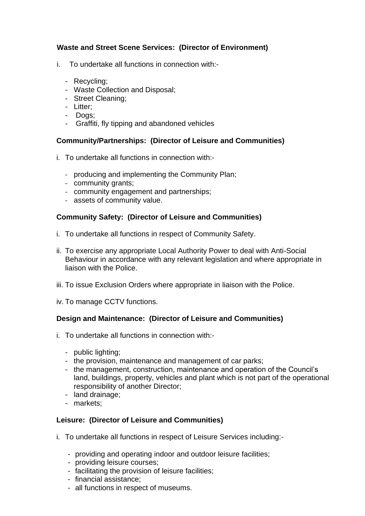# **Waste and Street Scene Services: (Director of Environment)**

- i. To undertake all functions in connection with:-
	- Recycling;
	- Waste Collection and Disposal;
	- Street Cleaning;
	- Litter;
	- Dogs;
	- Graffiti, fly tipping and abandoned vehicles

### **Community/Partnerships: (Director of Leisure and Communities)**

- i. To undertake all functions in connection with:-
	- producing and implementing the Community Plan;
	- community grants;
	- community engagement and partnerships;
	- assets of community value.

# **Community Safety: (Director of Leisure and Communities)**

- i. To undertake all functions in respect of Community Safety.
- ii. To exercise any appropriate Local Authority Power to deal with Anti-Social Behaviour in accordance with any relevant legislation and where appropriate in liaison with the Police.
- iii. To issue Exclusion Orders where appropriate in liaison with the Police.
- iv. To manage CCTV functions.

# **Design and Maintenance: (Director of Leisure and Communities)**

- i. To undertake all functions in connection with:-
	- public lighting;
	- the provision, maintenance and management of car parks;
	- the management, construction, maintenance and operation of the Council's land, buildings, property, vehicles and plant which is not part of the operational responsibility of another Director;
	- land drainage;
	- markets;

### **Leisure: (Director of Leisure and Communities)**

- i. To undertake all functions in respect of Leisure Services including:-
	- providing and operating indoor and outdoor leisure facilities;
	- providing leisure courses;
	- facilitating the provision of leisure facilities;
	- financial assistance;
	- all functions in respect of museums.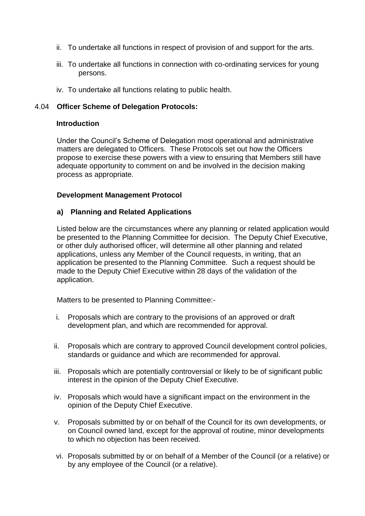- ii. To undertake all functions in respect of provision of and support for the arts.
- iii. To undertake all functions in connection with co-ordinating services for young persons.
- iv. To undertake all functions relating to public health.

#### 4.04 **Officer Scheme of Delegation Protocols:**

#### **Introduction**

Under the Council's Scheme of Delegation most operational and administrative matters are delegated to Officers. These Protocols set out how the Officers propose to exercise these powers with a view to ensuring that Members still have adequate opportunity to comment on and be involved in the decision making process as appropriate.

#### **Development Management Protocol**

#### **a) Planning and Related Applications**

Listed below are the circumstances where any planning or related application would be presented to the Planning Committee for decision. The Deputy Chief Executive, or other duly authorised officer, will determine all other planning and related applications, unless any Member of the Council requests, in writing, that an application be presented to the Planning Committee. Such a request should be made to the Deputy Chief Executive within 28 days of the validation of the application.

Matters to be presented to Planning Committee:-

- i. Proposals which are contrary to the provisions of an approved or draft development plan, and which are recommended for approval.
- ii. Proposals which are contrary to approved Council development control policies, standards or guidance and which are recommended for approval.
- iii. Proposals which are potentially controversial or likely to be of significant public interest in the opinion of the Deputy Chief Executive.
- iv. Proposals which would have a significant impact on the environment in the opinion of the Deputy Chief Executive.
- v. Proposals submitted by or on behalf of the Council for its own developments, or on Council owned land, except for the approval of routine, minor developments to which no objection has been received.
- vi. Proposals submitted by or on behalf of a Member of the Council (or a relative) or by any employee of the Council (or a relative).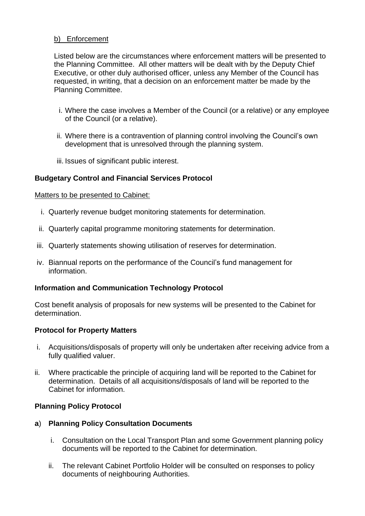### b) Enforcement

Listed below are the circumstances where enforcement matters will be presented to the Planning Committee. All other matters will be dealt with by the Deputy Chief Executive, or other duly authorised officer, unless any Member of the Council has requested, in writing, that a decision on an enforcement matter be made by the Planning Committee.

- i. Where the case involves a Member of the Council (or a relative) or any employee of the Council (or a relative).
- ii. Where there is a contravention of planning control involving the Council's own development that is unresolved through the planning system.
- iii. Issues of significant public interest.

# **Budgetary Control and Financial Services Protocol**

#### Matters to be presented to Cabinet:

- i. Quarterly revenue budget monitoring statements for determination.
- ii. Quarterly capital programme monitoring statements for determination.
- iii. Quarterly statements showing utilisation of reserves for determination.
- iv. Biannual reports on the performance of the Council's fund management for information.

### **Information and Communication Technology Protocol**

Cost benefit analysis of proposals for new systems will be presented to the Cabinet for determination.

# **Protocol for Property Matters**

- i. Acquisitions/disposals of property will only be undertaken after receiving advice from a fully qualified valuer.
- ii. Where practicable the principle of acquiring land will be reported to the Cabinet for determination. Details of all acquisitions/disposals of land will be reported to the Cabinet for information.

### **Planning Policy Protocol**

### **a**) **Planning Policy Consultation Documents**

- i. Consultation on the Local Transport Plan and some Government planning policy documents will be reported to the Cabinet for determination.
- ii. The relevant Cabinet Portfolio Holder will be consulted on responses to policy documents of neighbouring Authorities.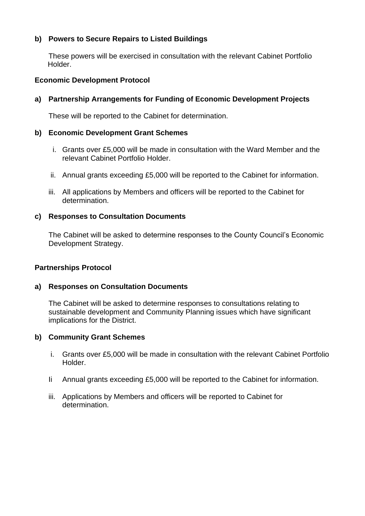# **b) Powers to Secure Repairs to Listed Buildings**

These powers will be exercised in consultation with the relevant Cabinet Portfolio Holder.

### **Economic Development Protocol**

# **a) Partnership Arrangements for Funding of Economic Development Projects**

These will be reported to the Cabinet for determination.

### **b) Economic Development Grant Schemes**

- i. Grants over £5,000 will be made in consultation with the Ward Member and the relevant Cabinet Portfolio Holder.
- ii. Annual grants exceeding £5,000 will be reported to the Cabinet for information.
- iii. All applications by Members and officers will be reported to the Cabinet for determination.

### **c) Responses to Consultation Documents**

The Cabinet will be asked to determine responses to the County Council's Economic Development Strategy.

### **Partnerships Protocol**

### **a) Responses on Consultation Documents**

The Cabinet will be asked to determine responses to consultations relating to sustainable development and Community Planning issues which have significant implications for the District.

# **b) Community Grant Schemes**

- i. Grants over £5,000 will be made in consultation with the relevant Cabinet Portfolio Holder.
- Ii Annual grants exceeding £5,000 will be reported to the Cabinet for information.
- iii. Applications by Members and officers will be reported to Cabinet for determination.